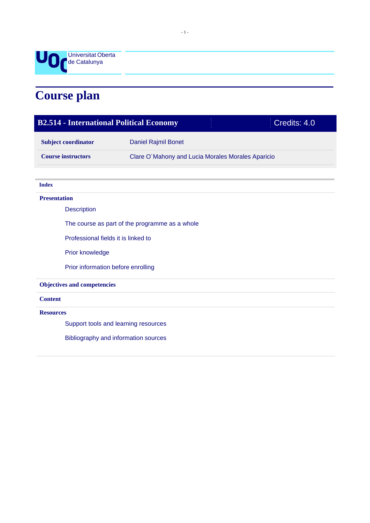

# **Course plan**

| <b>B2.514 - International Political Economy</b> |                                                   |  | Credits: 4.0 |
|-------------------------------------------------|---------------------------------------------------|--|--------------|
| <b>Subject coordinator</b>                      | Daniel Rajmil Bonet                               |  |              |
| <b>Course instructors</b>                       | Clare O'Mahony and Lucia Morales Morales Aparicio |  |              |
| <b>Index</b>                                    |                                                   |  |              |
| <b>Presentation</b>                             |                                                   |  |              |
| <b>Description</b>                              |                                                   |  |              |
|                                                 |                                                   |  |              |
| The course as part of the programme as a whole  |                                                   |  |              |
| Professional fields it is linked to             |                                                   |  |              |
| Prior knowledge                                 |                                                   |  |              |
| Prior information before enrolling              |                                                   |  |              |
| <b>Objectives and competencies</b>              |                                                   |  |              |
| <b>Content</b>                                  |                                                   |  |              |
| <b>Resources</b>                                |                                                   |  |              |
| Support tools and learning resources            |                                                   |  |              |
| Bibliography and information sources            |                                                   |  |              |
|                                                 |                                                   |  |              |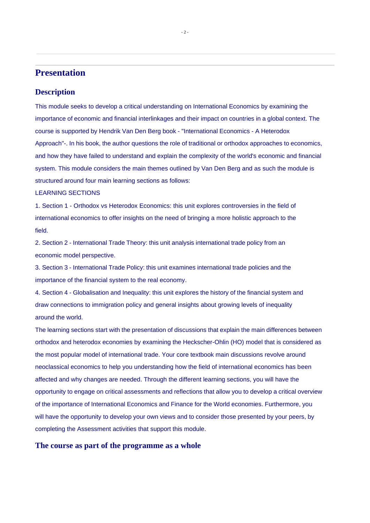## **Presentation**

#### **Description**

This module seeks to develop a critical understanding on International Economics by examining the importance of economic and financial interlinkages and their impact on countries in a global context. The course is supported by Hendrik Van Den Berg book - "International Economics - A Heterodox Approach"-. In his book, the author questions the role of traditional or orthodox approaches to economics, and how they have failed to understand and explain the complexity of the world's economic and financial system. This module considers the main themes outlined by Van Den Berg and as such the module is structured around four main learning sections as follows:

#### LEARNING SECTIONS

1. Section 1 - Orthodox vs Heterodox Economics: this unit explores controversies in the field of international economics to offer insights on the need of bringing a more holistic approach to the field.

2. Section 2 - International Trade Theory: this unit analysis international trade policy from an economic model perspective.

3. Section 3 - International Trade Policy: this unit examines international trade policies and the importance of the financial system to the real economy.

4. Section 4 - Globalisation and Inequality: this unit explores the history of the financial system and draw connections to immigration policy and general insights about growing levels of inequality around the world.

The learning sections start with the presentation of discussions that explain the main differences between orthodox and heterodox economies by examining the Heckscher-Ohlin (HO) model that is considered as the most popular model of international trade. Your core textbook main discussions revolve around neoclassical economics to help you understanding how the field of international economics has been affected and why changes are needed. Through the different learning sections, you will have the opportunity to engage on critical assessments and reflections that allow you to develop a critical overview of the importance of International Economics and Finance for the World economies. Furthermore, you will have the opportunity to develop your own views and to consider those presented by your peers, by completing the Assessment activities that support this module.

#### **The course as part of the programme as a whole**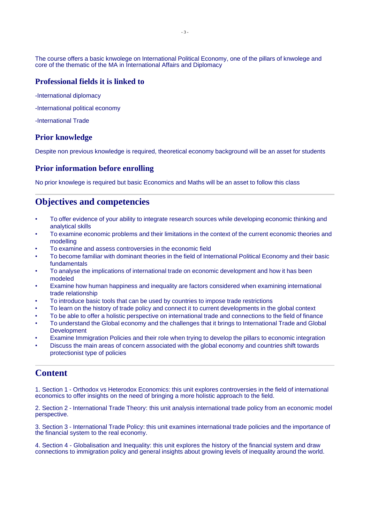The course offers a basic knwolege on International Political Economy, one of the pillars of knwolege and core of the thematic of the MA in International Affairs and Diplomacy

### **Professional fields it is linked to**

-International diplomacy

- -International political economy
- -International Trade

#### **Prior knowledge**

Despite non previous knowledge is required, theoretical economy background will be an asset for students

#### **Prior information before enrolling**

No prior knowlege is required but basic Economics and Maths will be an asset to follow this class

## **Objectives and competencies**

- To offer evidence of your ability to integrate research sources while developing economic thinking and analytical skills
- To examine economic problems and their limitations in the context of the current economic theories and modelling
- To examine and assess controversies in the economic field
- To become familiar with dominant theories in the field of International Political Economy and their basic fundamentals
- To analyse the implications of international trade on economic development and how it has been modeled
- Examine how human happiness and inequality are factors considered when examining international trade relationship
- To introduce basic tools that can be used by countries to impose trade restrictions
- To learn on the history of trade policy and connect it to current developments in the global context
- To be able to offer a holistic perspective on international trade and connections to the field of finance
- To understand the Global economy and the challenges that it brings to International Trade and Global Development
- Examine Immigration Policies and their role when trying to develop the pillars to economic integration
- Discuss the main areas of concern associated with the global economy and countries shift towards protectionist type of policies

## **Content**

1. Section 1 - Orthodox vs Heterodox Economics: this unit explores controversies in the field of international economics to offer insights on the need of bringing a more holistic approach to the field.

2. Section 2 - International Trade Theory: this unit analysis international trade policy from an economic model perspective.

3. Section 3 - International Trade Policy: this unit examines international trade policies and the importance of the financial system to the real economy.

4. Section 4 - Globalisation and Inequality: this unit explores the history of the financial system and draw connections to immigration policy and general insights about growing levels of inequality around the world.